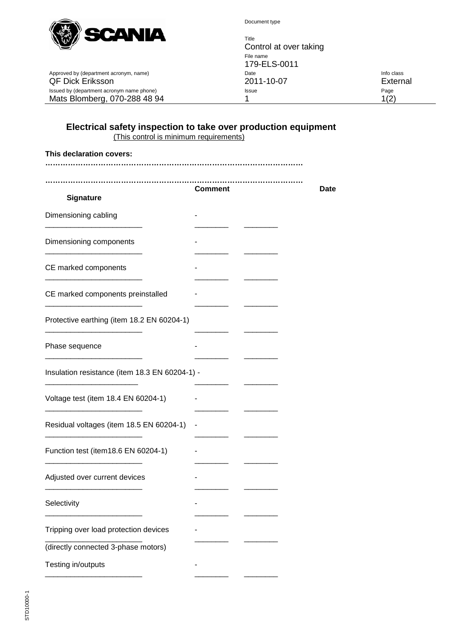

Document type

Title Control at over taking File name 179-ELS-0011<br>Date Approved by (department acronym, name) Date Info class QF Dick Eriksson 2011-10-07 External Issued by (department acronym name phone) and the extra state of the state of the Page Page Page Page Mats Blomberg, 070-288 48 94 1 1(2)

## **Electrical safety inspection to take over production equipment** (This control is minimum requirements)

| This declaration covers:                       |                |      |
|------------------------------------------------|----------------|------|
|                                                |                |      |
|                                                | <b>Comment</b> | Date |
| <b>Signature</b>                               |                |      |
| Dimensioning cabling                           |                |      |
| Dimensioning components                        |                |      |
| CE marked components                           |                |      |
| CE marked components preinstalled              |                |      |
| Protective earthing (item 18.2 EN 60204-1)     |                |      |
| Phase sequence                                 |                |      |
| Insulation resistance (item 18.3 EN 60204-1) - |                |      |
| Voltage test (item 18.4 EN 60204-1)            |                |      |
| Residual voltages (item 18.5 EN 60204-1)       |                |      |
| Function test (item18.6 EN 60204-1)            |                |      |
| Adjusted over current devices                  |                |      |
| Selectivity                                    |                |      |
| Tripping over load protection devices          |                |      |
| (directly connected 3-phase motors)            |                |      |
| Testing in/outputs                             |                |      |